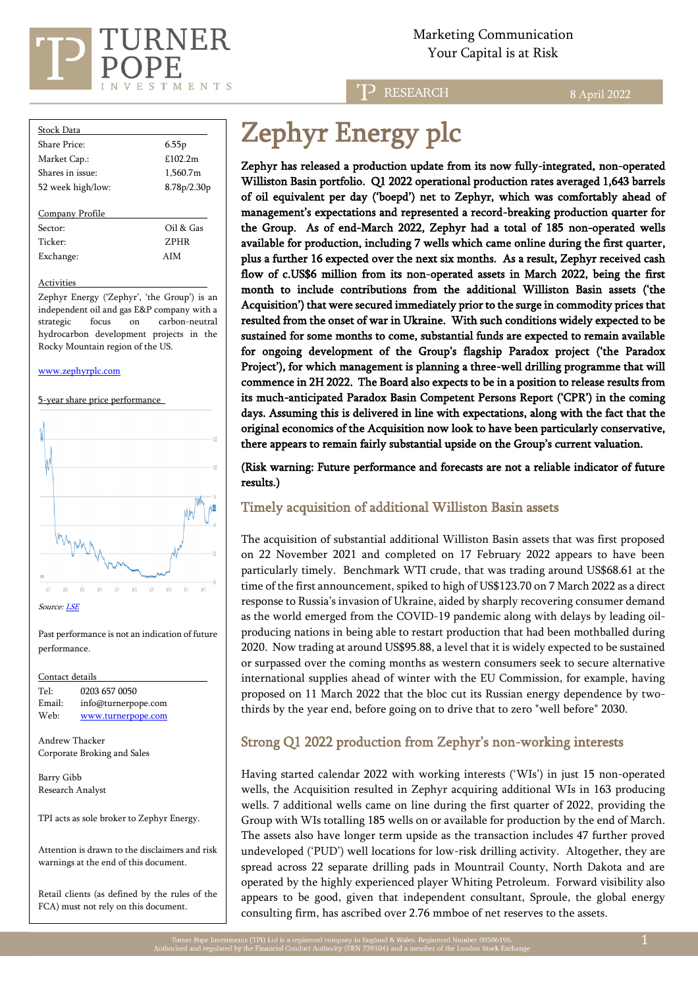

Marketing Communication  $\sum_{i=1}^{n}$   $\sum_{i=1}^{n}$   $\sum_{i=1}^{n}$   $\sum_{i=1}^{n}$   $\sum_{i=1}^{n}$   $\sum_{i=1}^{n}$   $\sum_{i=1}^{n}$   $\sum_{i=1}^{n}$   $\sum_{i=1}^{n}$   $\sum_{i=1}^{n}$   $\sum_{i=1}^{n}$   $\sum_{i=1}^{n}$   $\sum_{i=1}^{n}$   $\sum_{i=1}^{n}$   $\sum_{i=1}^{n}$   $\sum_{i=1}^{n}$   $\sum_{i=1}^{n}$ 

**RESEARCH** 

8 April 2022

| <b>Stock Data</b> |             |
|-------------------|-------------|
| Share Price:      | 6.55p       |
| Market Cap.:      | £1022m      |
| Shares in issue:  | 1,560.7m    |
| 52 week high/low: | 8.78p/2.30p |
|                   |             |
| Company Profile   |             |
| Sector:           | Oil & Gas   |
| Ticker:           | <b>ZPHR</b> |
| Exchange:         | A I M       |

#### Activities

Zephyr Energy ('Zephyr', 'the Group') is an independent oil and gas E&P company with a strategic focus on carbon-neutral hydrocarbon development projects in the Rocky Mountain region of the US.

#### [www.zephyrplc.com](https://www.zephyrplc.com/)

5-year share price performance



Source[: LSE](https://www.londonstockexchange.com/stock/ZPHR/zephyr-energy-plc/company-page)

Past performance is not an indication of future performance.

| Contact details |                     |
|-----------------|---------------------|
| Tel:            | 0203 657 0050       |
| Email:          | info@turnerpope.com |
| Web:            | www.turnerpope.com  |
|                 |                     |

Andrew Thacker Corporate Broking and Sales

Barry Gibb Research Analyst

TPI acts as sole broker to Zephyr Energy.

Attention is drawn to the disclaimers and risk warnings at the end of this document.

Retail clients (as defined by the rules of the FCA) must not rely on this document.

# Zephyr Energy plc

Zephyr has released a production update from its now fully-integrated, non-operated Williston Basin portfolio. Q1 2022 operational production rates averaged 1,643 barrels of oil equivalent per day ('boepd') net to Zephyr, which was comfortably ahead of management's expectations and represented a record-breaking production quarter for the Group. As of end-March 2022, Zephyr had a total of 185 non-operated wells available for production, including 7 wells which came online during the first quarter, plus a further 16 expected over the next six months. As a result, Zephyr received cash flow of c.US\$6 million from its non-operated assets in March 2022, being the first month to include contributions from the additional Williston Basin assets ('the Acquisition') that were secured immediately prior to the surge in commodity prices that resulted from the onset of war in Ukraine. With such conditions widely expected to be sustained for some months to come, substantial funds are expected to remain available for ongoing development of the Group's flagship Paradox project ('the Paradox Project'), for which management is planning a three-well drilling programme that will commence in 2H 2022. The Board also expects to be in a position to release results from its much-anticipated Paradox Basin Competent Persons Report ('CPR') in the coming days. Assuming this is delivered in line with expectations, along with the fact that the original economics of the Acquisition now look to have been particularly conservative, there appears to remain fairly substantial upside on the Group's current valuation.

(Risk warning: Future performance and forecasts are not a reliable indicator of future results.)

## Timely acquisition of additional Williston Basin assets

The acquisition of substantial additional Williston Basin assets that was first proposed on 22 November 2021 and completed on 17 February 2022 appears to have been particularly timely. Benchmark WTI crude, that was trading around US\$68.61 at the time of the first announcement, spiked to high of US\$123.70 on 7 March 2022 as a direct response to Russia's invasion of Ukraine, aided by sharply recovering consumer demand as the world emerged from the COVID-19 pandemic along with delays by leading oilproducing nations in being able to restart production that had been mothballed during 2020. Now trading at around US\$95.88, a level that it is widely expected to be sustained or surpassed over the coming months as western consumers seek to secure alternative international supplies ahead of winter with the EU Commission, for example, having proposed on 11 March 2022 that the bloc cut its Russian energy dependence by twothirds by the year end, before going on to drive that to zero "well before" 2030.

## Strong Q1 2022 production from Zephyr's non-working interests

Having started calendar 2022 with working interests ('WIs') in just 15 non-operated wells, the Acquisition resulted in Zephyr acquiring additional WIs in 163 producing wells. 7 additional wells came on line during the first quarter of 2022, providing the Group with WIs totalling 185 wells on or available for production by the end of March. The assets also have longer term upside as the transaction includes 47 further proved undeveloped ('PUD') well locations for low-risk drilling activity. Altogether, they are spread across 22 separate drilling pads in Mountrail County, North Dakota and are operated by the highly experienced player Whiting Petroleum. Forward visibility also appears to be good, given that independent consultant, Sproule, the global energy consulting firm, has ascribed over 2.76 mmboe of net reserves to the assets.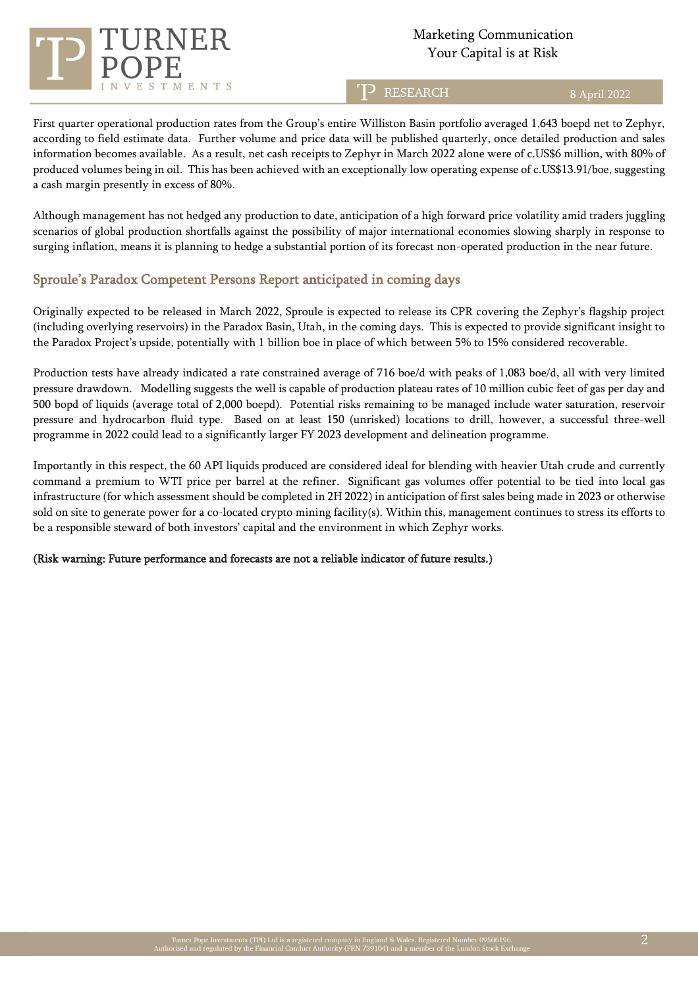# TMENTS

# Marketing Communication  $\sum_{i=1}^{n}$   $\sum_{i=1}^{n}$   $\sum_{i=1}^{n}$   $\sum_{i=1}^{n}$   $\sum_{i=1}^{n}$   $\sum_{i=1}^{n}$   $\sum_{i=1}^{n}$   $\sum_{i=1}^{n}$   $\sum_{i=1}^{n}$   $\sum_{i=1}^{n}$   $\sum_{i=1}^{n}$   $\sum_{i=1}^{n}$   $\sum_{i=1}^{n}$   $\sum_{i=1}^{n}$   $\sum_{i=1}^{n}$   $\sum_{i=1}^{n}$   $\sum_{i=1}^{n}$

**RESEARCH** 

8 April 2022

First quarter operational production rates from the Group's entire Williston Basin portfolio averaged 1,643 boepd net to Zephyr, according to field estimate data. Further volume and price data will be published quarterly, once detailed production and sales information becomes available. As a result, net cash receipts to Zephyr in March 2022 alone were of c.US\$6 million, with 80% of produced volumes being in oil. This has been achieved with an exceptionally low operating expense of c.US\$13.91/boe, suggesting a cash margin presently in excess of 80%.

Although management has not hedged any production to date, anticipation of a high forward price volatility amid traders juggling scenarios of global production shortfalls against the possibility of major international economies slowing sharply in response to surging inflation, means it is planning to hedge a substantial portion of its forecast non-operated production in the near future.

## Sproule's Paradox Competent Persons Report anticipated in coming days

Originally expected to be released in March 2022, Sproule is expected to release its CPR covering the Zephyr's flagship project (including overlying reservoirs) in the Paradox Basin, Utah, in the coming days. This is expected to provide significant insight to the Paradox Project's upside, potentially with 1 billion boe in place of which between 5% to 15% considered recoverable.

Production tests have already indicated a rate constrained average of 716 boe/d with peaks of 1,083 boe/d, all with very limited pressure drawdown. Modelling suggests the well is capable of production plateau rates of 10 million cubic feet of gas per day and 500 bopd of liquids (average total of 2,000 boepd). Potential risks remaining to be managed include water saturation, reservoir pressure and hydrocarbon fluid type. Based on at least 150 (unrisked) locations to drill, however, a successful three-well programme in 2022 could lead to a significantly larger FY 2023 development and delineation programme.

Importantly in this respect, the 60 API liquids produced are considered ideal for blending with heavier Utah crude and currently command a premium to WTI price per barrel at the refiner. Significant gas volumes offer potential to be tied into local gas infrastructure (for which assessment should be completed in 2H 2022) in anticipation of first sales being made in 2023 or otherwise sold on site to generate power for a co-located crypto mining facility(s). Within this, management continues to stress its efforts to be a responsible steward of both investors' capital and the environment in which Zephyr works.

## (Risk warning: Future performance and forecasts are not a reliable indicator of future results.)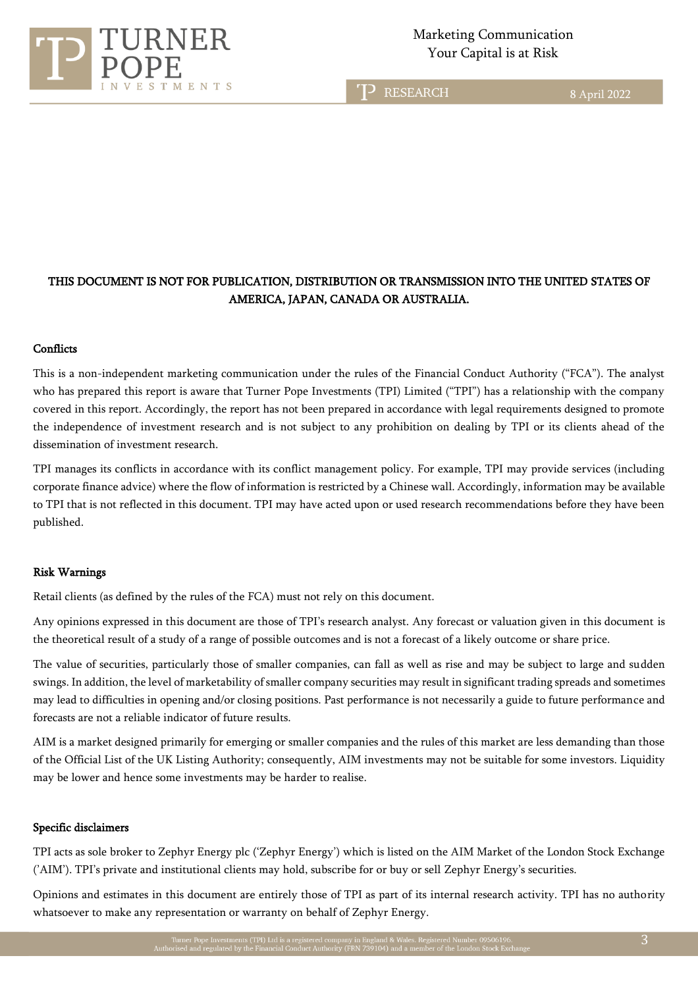

# Marketing Communication

TP RESEARCH

8 April 2022

# THIS DOCUMENT IS NOT FOR PUBLICATION, DISTRIBUTION OR TRANSMISSION INTO THE UNITED STATES OF AMERICA, JAPAN, CANADA OR AUSTRALIA.

ī

#### **Conflicts**

This is a non-independent marketing communication under the rules of the Financial Conduct Authority ("FCA"). The analyst who has prepared this report is aware that Turner Pope Investments (TPI) Limited ("TPI") has a relationship with the company covered in this report. Accordingly, the report has not been prepared in accordance with legal requirements designed to promote the independence of investment research and is not subject to any prohibition on dealing by TPI or its clients ahead of the dissemination of investment research.

TPI manages its conflicts in accordance with its conflict management policy. For example, TPI may provide services (including corporate finance advice) where the flow of information is restricted by a Chinese wall. Accordingly, information may be available to TPI that is not reflected in this document. TPI may have acted upon or used research recommendations before they have been published.

#### Risk Warnings

Retail clients (as defined by the rules of the FCA) must not rely on this document.

Any opinions expressed in this document are those of TPI's research analyst. Any forecast or valuation given in this document is the theoretical result of a study of a range of possible outcomes and is not a forecast of a likely outcome or share price.

The value of securities, particularly those of smaller companies, can fall as well as rise and may be subject to large and sudden swings. In addition, the level of marketability of smaller company securities may result in significant trading spreads and sometimes may lead to difficulties in opening and/or closing positions. Past performance is not necessarily a guide to future performance and forecasts are not a reliable indicator of future results.

AIM is a market designed primarily for emerging or smaller companies and the rules of this market are less demanding than those of the Official List of the UK Listing Authority; consequently, AIM investments may not be suitable for some investors. Liquidity may be lower and hence some investments may be harder to realise.

#### Specific disclaimers

TPI acts as sole broker to Zephyr Energy plc ('Zephyr Energy') which is listed on the AIM Market of the London Stock Exchange ('AIM'). TPI's private and institutional clients may hold, subscribe for or buy or sell Zephyr Energy's securities.

Opinions and estimates in this document are entirely those of TPI as part of its internal research activity. TPI has no authority whatsoever to make any representation or warranty on behalf of Zephyr Energy.